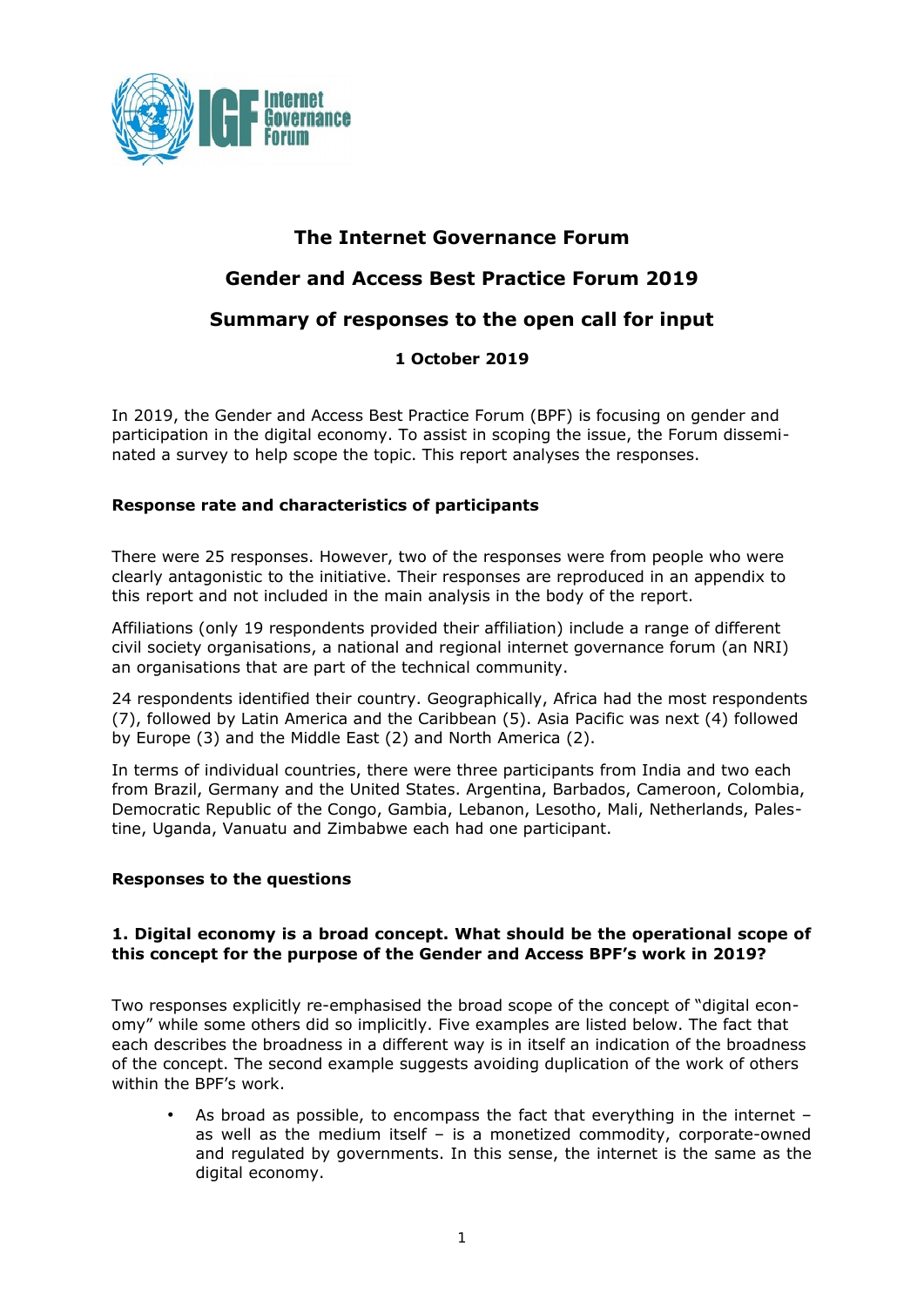

# **The Internet Governance Forum**

# **Gender and Access Best Practice Forum 2019**

## **Summary of responses to the open call for input**

### **1 October 2019**

In 2019, the Gender and Access Best Practice Forum (BPF) is focusing on gender and participation in the digital economy. To assist in scoping the issue, the Forum disseminated a survey to help scope the topic. This report analyses the responses.

#### **Response rate and characteristics of participants**

There were 25 responses. However, two of the responses were from people who were clearly antagonistic to the initiative. Their responses are reproduced in an appendix to this report and not included in the main analysis in the body of the report.

Affiliations (only 19 respondents provided their affiliation) include a range of different civil society organisations, a national and regional internet governance forum (an NRI) an organisations that are part of the technical community.

24 respondents identified their country. Geographically, Africa had the most respondents (7), followed by Latin America and the Caribbean (5). Asia Pacific was next (4) followed by Europe (3) and the Middle East (2) and North America (2).

In terms of individual countries, there were three participants from India and two each from Brazil, Germany and the United States. Argentina, Barbados, Cameroon, Colombia, Democratic Republic of the Congo, Gambia, Lebanon, Lesotho, Mali, Netherlands, Palestine, Uganda, Vanuatu and Zimbabwe each had one participant.

#### **Responses to the questions**

#### **1. Digital economy is a broad concept. What should be the operational scope of this concept for the purpose of the Gender and Access BPF's work in 2019?**

Two responses explicitly re-emphasised the broad scope of the concept of "digital economy" while some others did so implicitly. Five examples are listed below. The fact that each describes the broadness in a different way is in itself an indication of the broadness of the concept. The second example suggests avoiding duplication of the work of others within the BPF's work.

• As broad as possible, to encompass the fact that everything in the internet – as well as the medium itself – is a monetized commodity, corporate-owned and regulated by governments. In this sense, the internet is the same as the digital economy.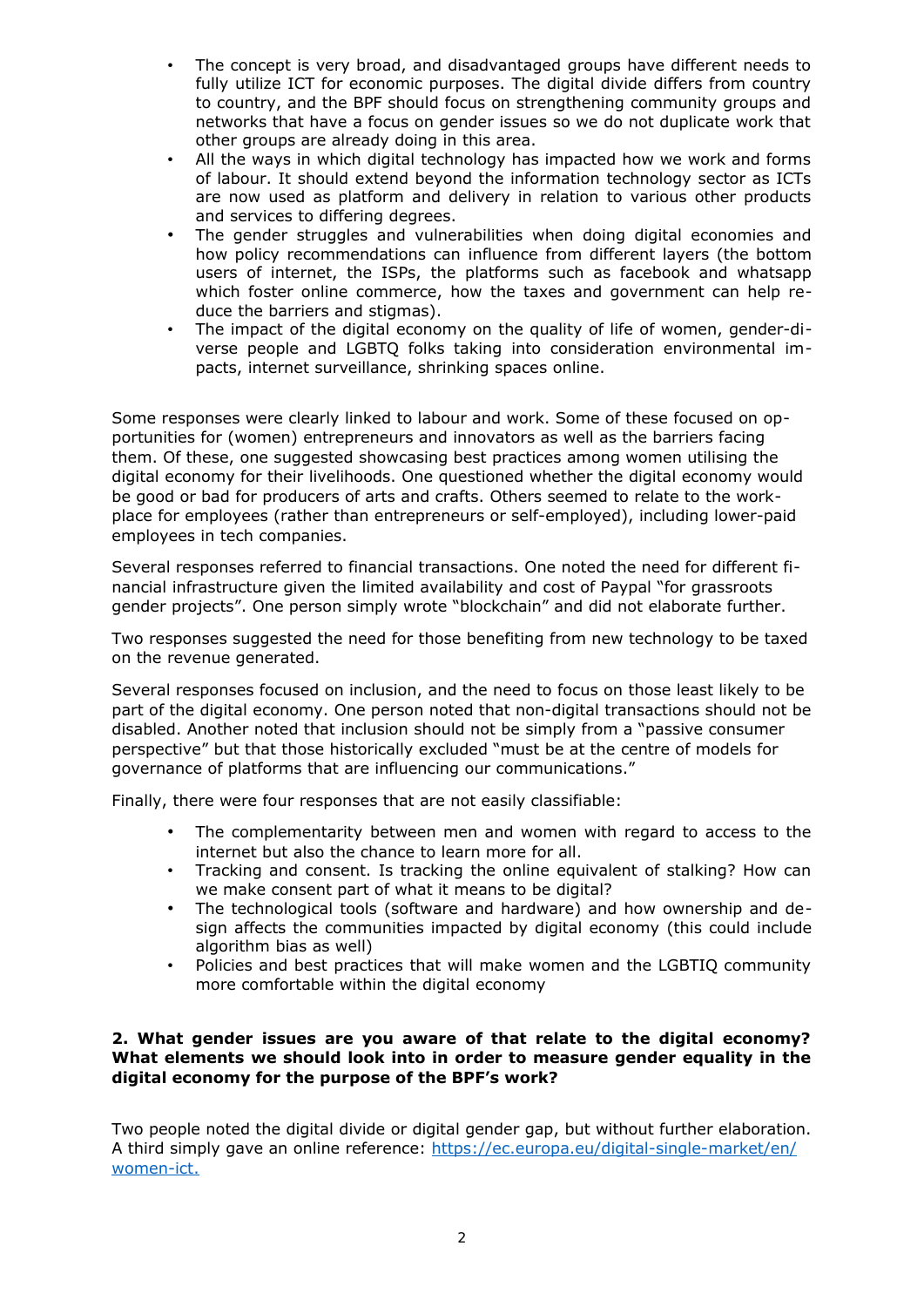- The concept is very broad, and disadvantaged groups have different needs to fully utilize ICT for economic purposes. The digital divide differs from country to country, and the BPF should focus on strengthening community groups and networks that have a focus on gender issues so we do not duplicate work that other groups are already doing in this area.
- All the ways in which digital technology has impacted how we work and forms of labour. It should extend beyond the information technology sector as ICTs are now used as platform and delivery in relation to various other products and services to differing degrees.
- The gender struggles and vulnerabilities when doing digital economies and how policy recommendations can influence from different layers (the bottom users of internet, the ISPs, the platforms such as facebook and whatsapp which foster online commerce, how the taxes and government can help reduce the barriers and stigmas).
- The impact of the digital economy on the quality of life of women, gender-diverse people and LGBTQ folks taking into consideration environmental impacts, internet surveillance, shrinking spaces online.

Some responses were clearly linked to labour and work. Some of these focused on opportunities for (women) entrepreneurs and innovators as well as the barriers facing them. Of these, one suggested showcasing best practices among women utilising the digital economy for their livelihoods. One questioned whether the digital economy would be good or bad for producers of arts and crafts. Others seemed to relate to the workplace for employees (rather than entrepreneurs or self-employed), including lower-paid employees in tech companies.

Several responses referred to financial transactions. One noted the need for different financial infrastructure given the limited availability and cost of Paypal "for grassroots gender projects". One person simply wrote "blockchain" and did not elaborate further.

Two responses suggested the need for those benefiting from new technology to be taxed on the revenue generated.

Several responses focused on inclusion, and the need to focus on those least likely to be part of the digital economy. One person noted that non-digital transactions should not be disabled. Another noted that inclusion should not be simply from a "passive consumer perspective" but that those historically excluded "must be at the centre of models for governance of platforms that are influencing our communications."

Finally, there were four responses that are not easily classifiable:

- The complementarity between men and women with regard to access to the internet but also the chance to learn more for all.
- Tracking and consent. Is tracking the online equivalent of stalking? How can we make consent part of what it means to be digital?
- The technological tools (software and hardware) and how ownership and design affects the communities impacted by digital economy (this could include algorithm bias as well)
- Policies and best practices that will make women and the LGBTIQ community more comfortable within the digital economy

#### **2. What gender issues are you aware of that relate to the digital economy? What elements we should look into in order to measure gender equality in the digital economy for the purpose of the BPF's work?**

Two people noted the digital divide or digital gender gap, but without further elaboration. A third simply gave an online reference: [https://ec.europa.eu/digital-single-market/en/](https://ec.europa.eu/digital-single-market/en/women-ict) women-ict.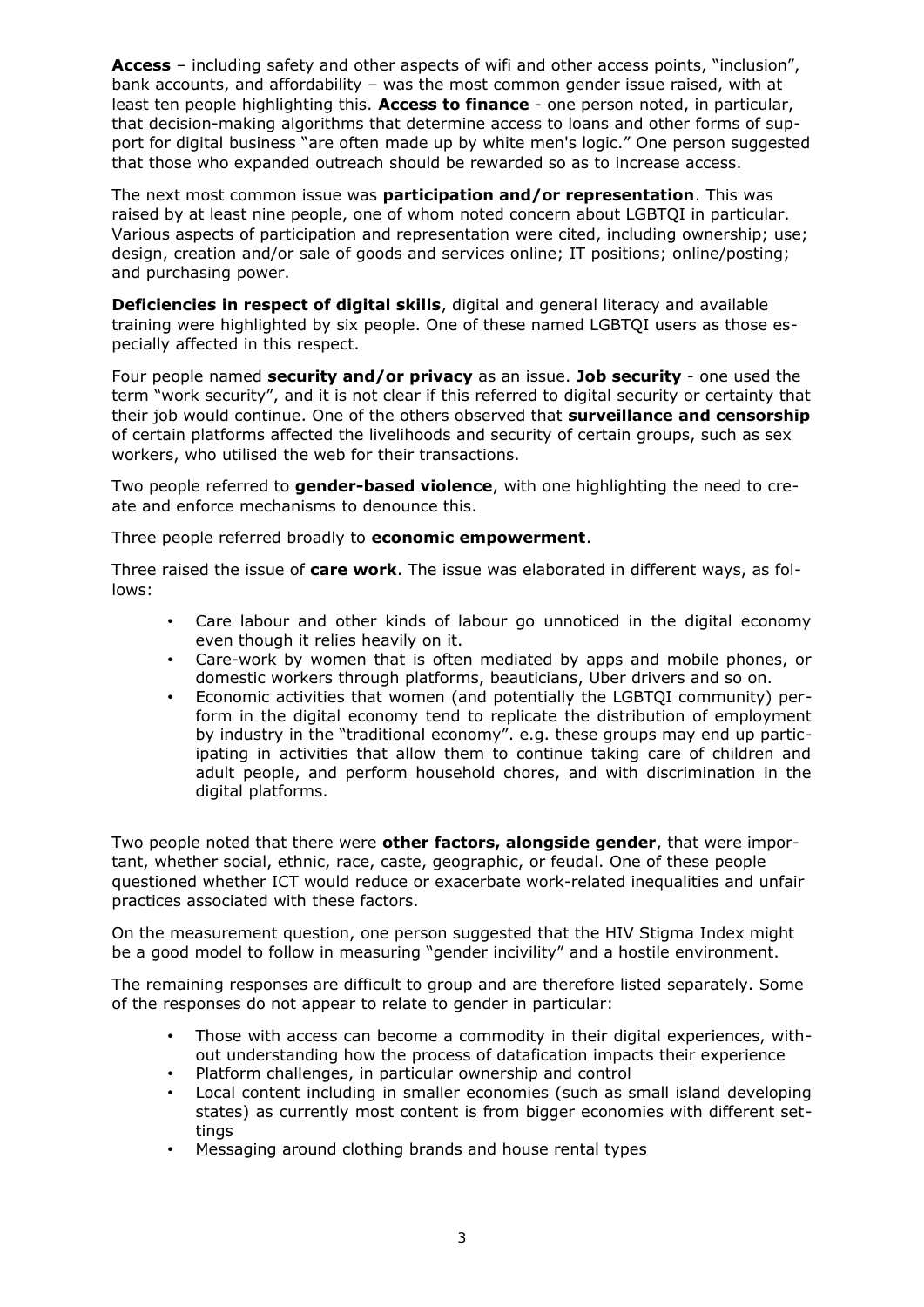**Access** – including safety and other aspects of wifi and other access points, "inclusion", bank accounts, and affordability – was the most common gender issue raised, with at least ten people highlighting this. **Access to finance** - one person noted, in particular, that decision-making algorithms that determine access to loans and other forms of support for digital business "are often made up by white men's logic." One person suggested that those who expanded outreach should be rewarded so as to increase access.

The next most common issue was **participation and/or representation**. This was raised by at least nine people, one of whom noted concern about LGBTQI in particular. Various aspects of participation and representation were cited, including ownership; use; design, creation and/or sale of goods and services online; IT positions; online/posting; and purchasing power.

**Deficiencies in respect of digital skills**, digital and general literacy and available training were highlighted by six people. One of these named LGBTQI users as those especially affected in this respect.

Four people named **security and/or privacy** as an issue. **Job security** - one used the term "work security", and it is not clear if this referred to digital security or certainty that their job would continue. One of the others observed that **surveillance and censorship** of certain platforms affected the livelihoods and security of certain groups, such as sex workers, who utilised the web for their transactions.

Two people referred to **gender-based violence**, with one highlighting the need to create and enforce mechanisms to denounce this.

Three people referred broadly to **economic empowerment**.

Three raised the issue of **care work**. The issue was elaborated in different ways, as follows:

- Care labour and other kinds of labour go unnoticed in the digital economy even though it relies heavily on it.
- Care-work by women that is often mediated by apps and mobile phones, or domestic workers through platforms, beauticians, Uber drivers and so on.
- Economic activities that women (and potentially the LGBTQI community) perform in the digital economy tend to replicate the distribution of employment by industry in the "traditional economy". e.g. these groups may end up participating in activities that allow them to continue taking care of children and adult people, and perform household chores, and with discrimination in the digital platforms.

Two people noted that there were **other factors, alongside gender**, that were important, whether social, ethnic, race, caste, geographic, or feudal. One of these people questioned whether ICT would reduce or exacerbate work-related inequalities and unfair practices associated with these factors.

On the measurement question, one person suggested that the HIV Stigma Index might be a good model to follow in measuring "gender incivility" and a hostile environment.

The remaining responses are difficult to group and are therefore listed separately. Some of the responses do not appear to relate to gender in particular:

- Those with access can become a commodity in their digital experiences, without understanding how the process of datafication impacts their experience
- Platform challenges, in particular ownership and control
- Local content including in smaller economies (such as small island developing states) as currently most content is from bigger economies with different settings
- Messaging around clothing brands and house rental types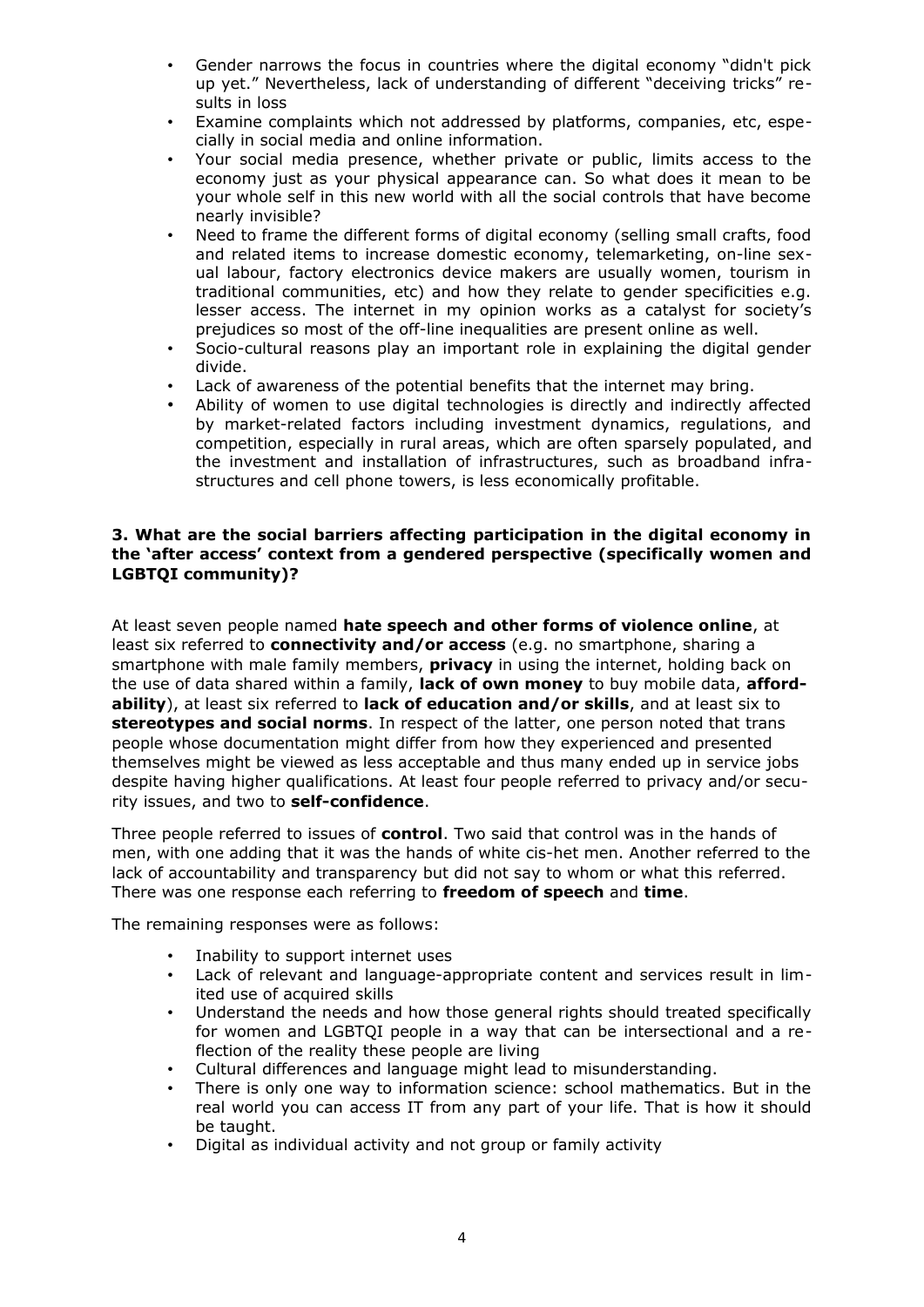- Gender narrows the focus in countries where the digital economy "didn't pick up yet." Nevertheless, lack of understanding of different "deceiving tricks" results in loss
- Examine complaints which not addressed by platforms, companies, etc, especially in social media and online information.
- Your social media presence, whether private or public, limits access to the economy just as your physical appearance can. So what does it mean to be your whole self in this new world with all the social controls that have become nearly invisible?
- Need to frame the different forms of digital economy (selling small crafts, food and related items to increase domestic economy, telemarketing, on-line sexual labour, factory electronics device makers are usually women, tourism in traditional communities, etc) and how they relate to gender specificities e.g. lesser access. The internet in my opinion works as a catalyst for society's prejudices so most of the off-line inequalities are present online as well.
- Socio-cultural reasons play an important role in explaining the digital gender divide.
- Lack of awareness of the potential benefits that the internet may bring.
- Ability of women to use digital technologies is directly and indirectly affected by market-related factors including investment dynamics, regulations, and competition, especially in rural areas, which are often sparsely populated, and the investment and installation of infrastructures, such as broadband infrastructures and cell phone towers, is less economically profitable.

#### **3. What are the social barriers affecting participation in the digital economy in the 'after access' context from a gendered perspective (specifically women and LGBTQI community)?**

At least seven people named **hate speech and other forms of violence online**, at least six referred to **connectivity and/or access** (e.g. no smartphone, sharing a smartphone with male family members, **privacy** in using the internet, holding back on the use of data shared within a family, **lack of own money** to buy mobile data, **affordability**), at least six referred to **lack of education and/or skills**, and at least six to **stereotypes and social norms**. In respect of the latter, one person noted that trans people whose documentation might differ from how they experienced and presented themselves might be viewed as less acceptable and thus many ended up in service jobs despite having higher qualifications. At least four people referred to privacy and/or security issues, and two to **self-confidence**.

Three people referred to issues of **control**. Two said that control was in the hands of men, with one adding that it was the hands of white cis-het men. Another referred to the lack of accountability and transparency but did not say to whom or what this referred. There was one response each referring to **freedom of speech** and **time**.

The remaining responses were as follows:

- Inability to support internet uses
- Lack of relevant and language-appropriate content and services result in limited use of acquired skills
- Understand the needs and how those general rights should treated specifically for women and LGBTQI people in a way that can be intersectional and a reflection of the reality these people are living
- Cultural differences and language might lead to misunderstanding.
- There is only one way to information science: school mathematics. But in the real world you can access IT from any part of your life. That is how it should be taught.
- Digital as individual activity and not group or family activity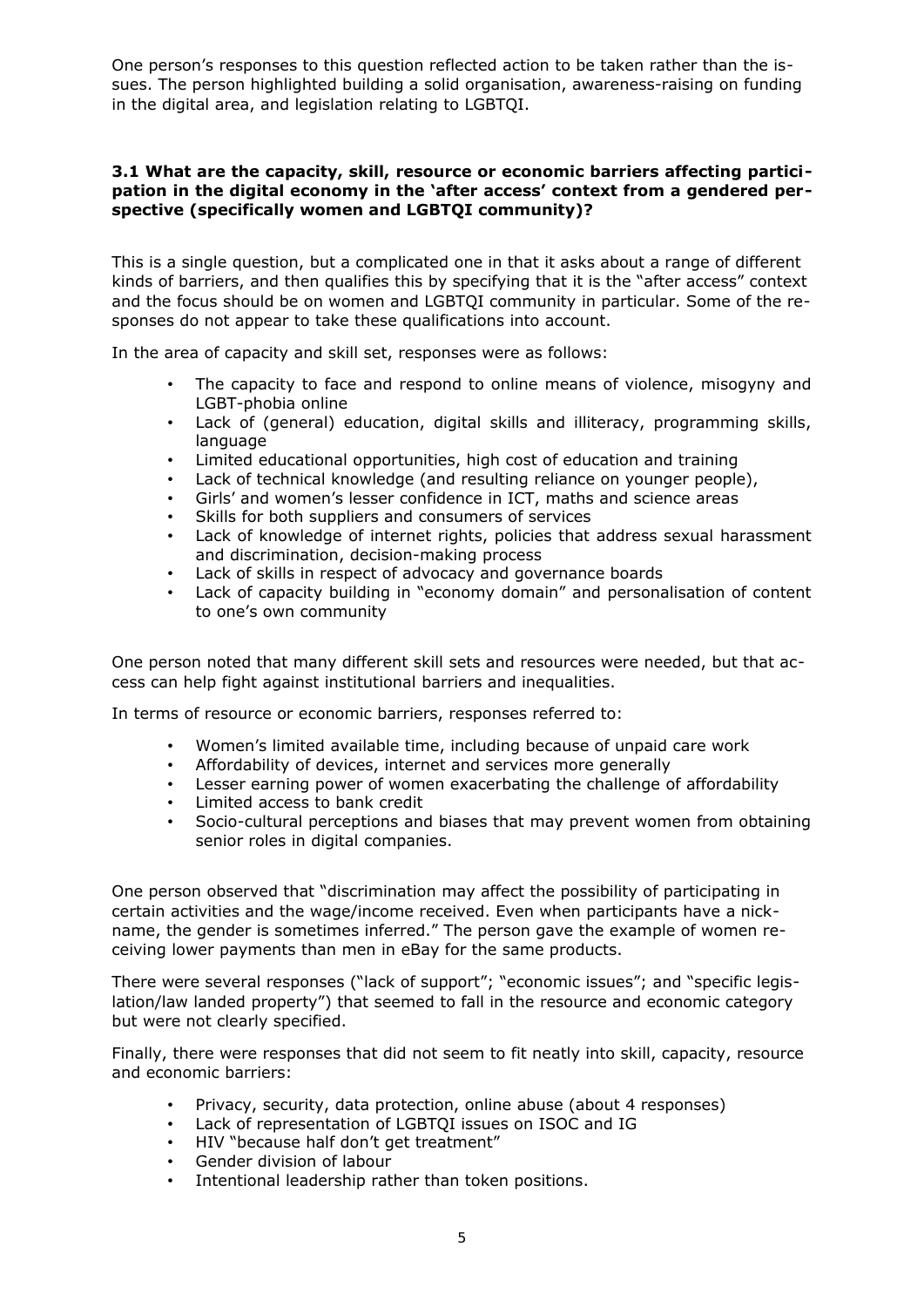One person's responses to this question reflected action to be taken rather than the issues. The person highlighted building a solid organisation, awareness-raising on funding in the digital area, and legislation relating to LGBTQI.

#### **3.1 What are the capacity, skill, resource or economic barriers affecting participation in the digital economy in the 'after access' context from a gendered perspective (specifically women and LGBTQI community)?**

This is a single question, but a complicated one in that it asks about a range of different kinds of barriers, and then qualifies this by specifying that it is the "after access" context and the focus should be on women and LGBTQI community in particular. Some of the responses do not appear to take these qualifications into account.

In the area of capacity and skill set, responses were as follows:

- The capacity to face and respond to online means of violence, misogyny and LGBT-phobia online
- Lack of (general) education, digital skills and illiteracy, programming skills, language
- Limited educational opportunities, high cost of education and training
- Lack of technical knowledge (and resulting reliance on younger people),
- Girls' and women's lesser confidence in ICT, maths and science areas
- Skills for both suppliers and consumers of services
- Lack of knowledge of internet rights, policies that address sexual harassment and discrimination, decision-making process
- Lack of skills in respect of advocacy and governance boards
- Lack of capacity building in "economy domain" and personalisation of content to one's own community

One person noted that many different skill sets and resources were needed, but that access can help fight against institutional barriers and inequalities.

In terms of resource or economic barriers, responses referred to:

- Women's limited available time, including because of unpaid care work
- Affordability of devices, internet and services more generally
- Lesser earning power of women exacerbating the challenge of affordability
- Limited access to bank credit
- Socio-cultural perceptions and biases that may prevent women from obtaining senior roles in digital companies.

One person observed that "discrimination may affect the possibility of participating in certain activities and the wage/income received. Even when participants have a nickname, the gender is sometimes inferred." The person gave the example of women receiving lower payments than men in eBay for the same products.

There were several responses ("lack of support"; "economic issues"; and "specific legislation/law landed property") that seemed to fall in the resource and economic category but were not clearly specified.

Finally, there were responses that did not seem to fit neatly into skill, capacity, resource and economic barriers:

- Privacy, security, data protection, online abuse (about 4 responses)
- Lack of representation of LGBTQI issues on ISOC and IG
- HIV "because half don't get treatment"
- Gender division of labour
- Intentional leadership rather than token positions.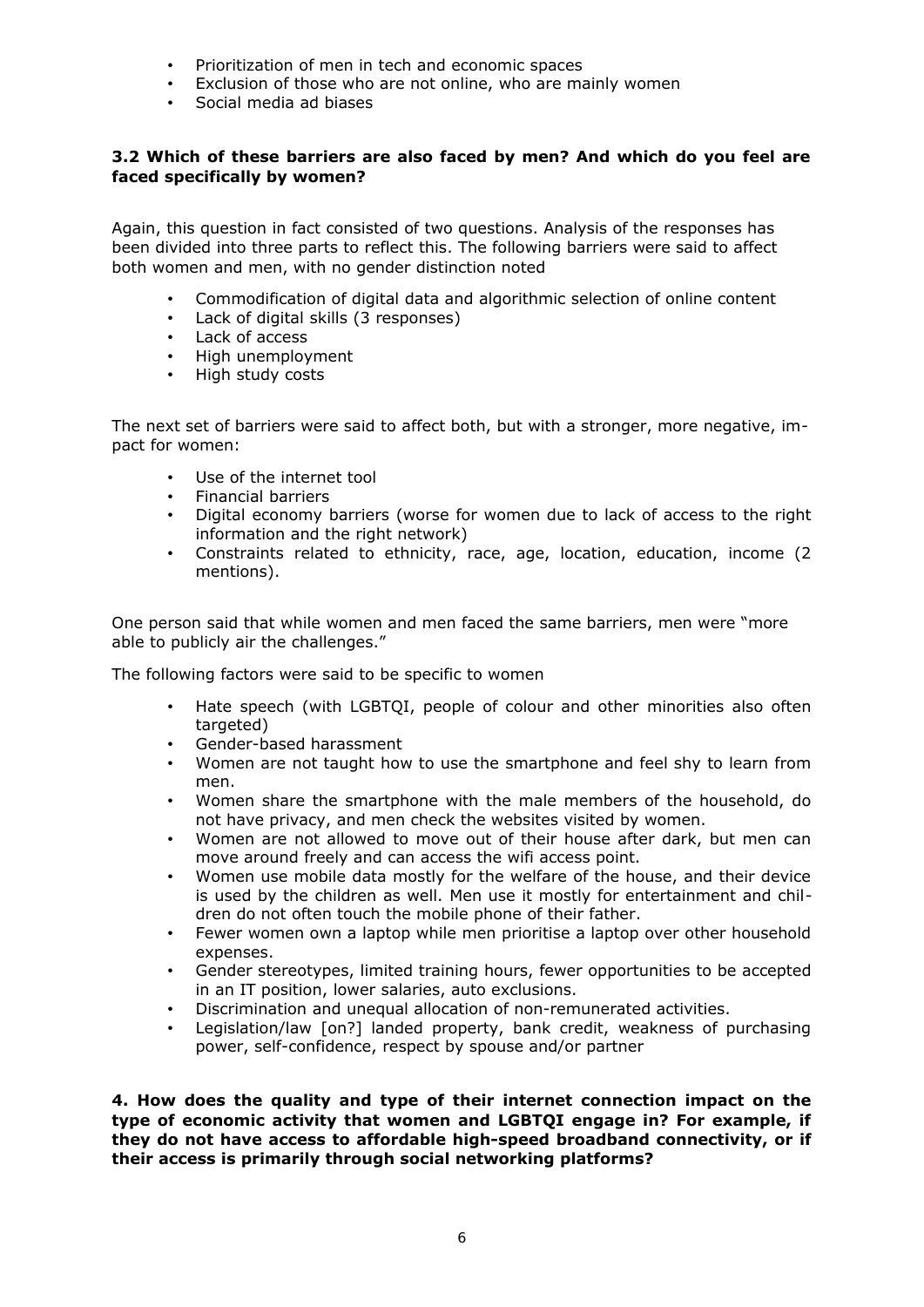- Prioritization of men in tech and economic spaces
- Exclusion of those who are not online, who are mainly women
- Social media ad biases

#### **3.2 Which of these barriers are also faced by men? And which do you feel are faced specifically by women?**

Again, this question in fact consisted of two questions. Analysis of the responses has been divided into three parts to reflect this. The following barriers were said to affect both women and men, with no gender distinction noted

- Commodification of digital data and algorithmic selection of online content
- Lack of digital skills (3 responses)<br>• Lack of access
- Lack of access
- High unemployment<br>• High study costs
- High study costs

The next set of barriers were said to affect both, but with a stronger, more negative, impact for women:

- Use of the internet tool
- Financial barriers
- Digital economy barriers (worse for women due to lack of access to the right information and the right network)
- Constraints related to ethnicity, race, age, location, education, income (2 mentions).

One person said that while women and men faced the same barriers, men were "more able to publicly air the challenges."

The following factors were said to be specific to women

- Hate speech (with LGBTQI, people of colour and other minorities also often targeted)
- Gender-based harassment
- Women are not taught how to use the smartphone and feel shy to learn from men.
- Women share the smartphone with the male members of the household, do not have privacy, and men check the websites visited by women.
- Women are not allowed to move out of their house after dark, but men can move around freely and can access the wifi access point.
- Women use mobile data mostly for the welfare of the house, and their device is used by the children as well. Men use it mostly for entertainment and children do not often touch the mobile phone of their father.
- Fewer women own a laptop while men prioritise a laptop over other household expenses.
- Gender stereotypes, limited training hours, fewer opportunities to be accepted in an IT position, lower salaries, auto exclusions.
- Discrimination and unequal allocation of non-remunerated activities.
- Legislation/law [on?] landed property, bank credit, weakness of purchasing power, self-confidence, respect by spouse and/or partner

**4. How does the quality and type of their internet connection impact on the type of economic activity that women and LGBTQI engage in? For example, if they do not have access to affordable high-speed broadband connectivity, or if their access is primarily through social networking platforms?**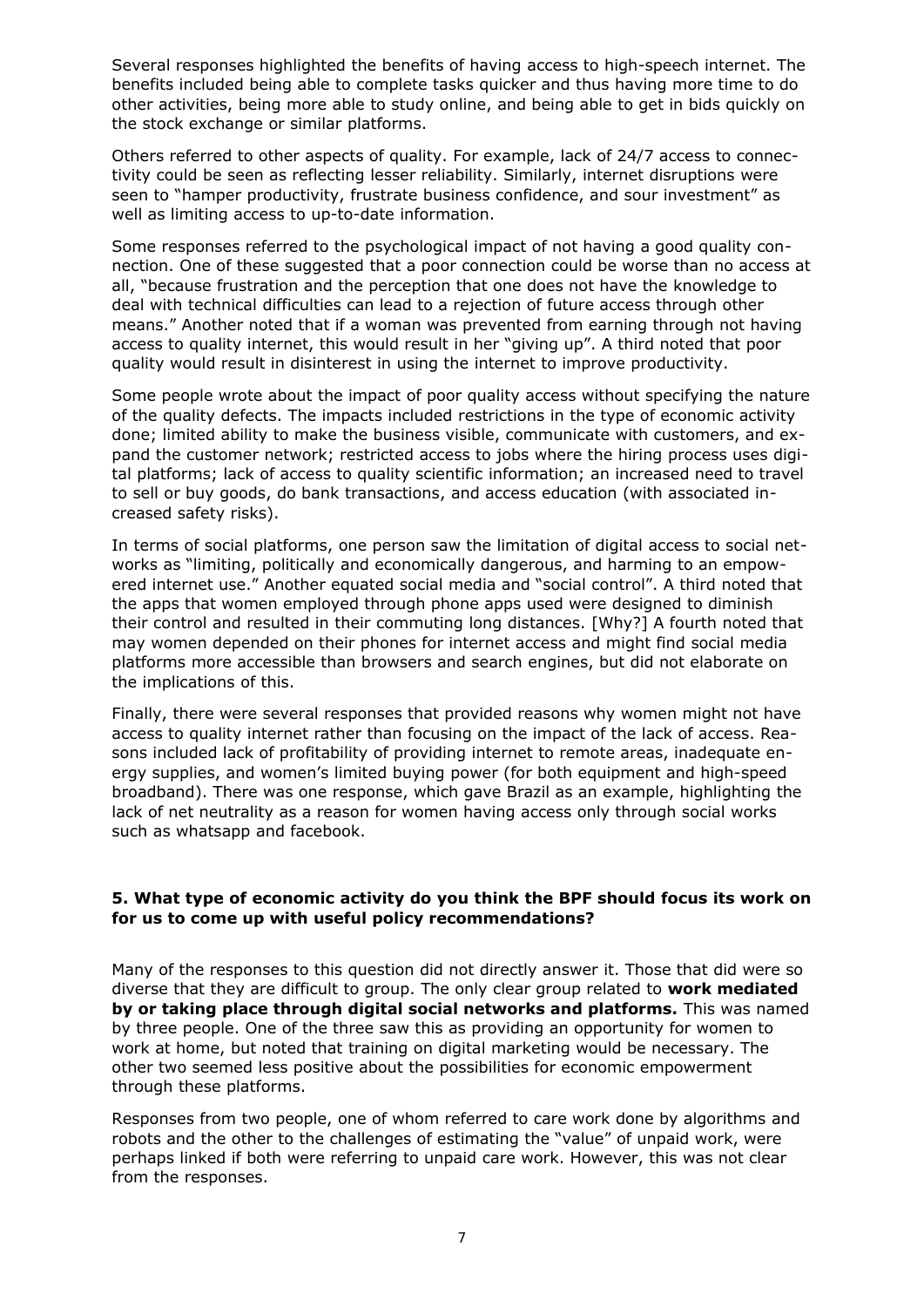Several responses highlighted the benefits of having access to high-speech internet. The benefits included being able to complete tasks quicker and thus having more time to do other activities, being more able to study online, and being able to get in bids quickly on the stock exchange or similar platforms.

Others referred to other aspects of quality. For example, lack of 24/7 access to connectivity could be seen as reflecting lesser reliability. Similarly, internet disruptions were seen to "hamper productivity, frustrate business confidence, and sour investment" as well as limiting access to up-to-date information.

Some responses referred to the psychological impact of not having a good quality connection. One of these suggested that a poor connection could be worse than no access at all, "because frustration and the perception that one does not have the knowledge to deal with technical difficulties can lead to a rejection of future access through other means." Another noted that if a woman was prevented from earning through not having access to quality internet, this would result in her "giving up". A third noted that poor quality would result in disinterest in using the internet to improve productivity.

Some people wrote about the impact of poor quality access without specifying the nature of the quality defects. The impacts included restrictions in the type of economic activity done; limited ability to make the business visible, communicate with customers, and expand the customer network; restricted access to jobs where the hiring process uses digital platforms; lack of access to quality scientific information; an increased need to travel to sell or buy goods, do bank transactions, and access education (with associated increased safety risks).

In terms of social platforms, one person saw the limitation of digital access to social networks as "limiting, politically and economically dangerous, and harming to an empowered internet use." Another equated social media and "social control". A third noted that the apps that women employed through phone apps used were designed to diminish their control and resulted in their commuting long distances. [Why?] A fourth noted that may women depended on their phones for internet access and might find social media platforms more accessible than browsers and search engines, but did not elaborate on the implications of this.

Finally, there were several responses that provided reasons why women might not have access to quality internet rather than focusing on the impact of the lack of access. Reasons included lack of profitability of providing internet to remote areas, inadequate energy supplies, and women's limited buying power (for both equipment and high-speed broadband). There was one response, which gave Brazil as an example, highlighting the lack of net neutrality as a reason for women having access only through social works such as whatsapp and facebook.

#### **5. What type of economic activity do you think the BPF should focus its work on for us to come up with useful policy recommendations?**

Many of the responses to this question did not directly answer it. Those that did were so diverse that they are difficult to group. The only clear group related to **work mediated by or taking place through digital social networks and platforms.** This was named by three people. One of the three saw this as providing an opportunity for women to work at home, but noted that training on digital marketing would be necessary. The other two seemed less positive about the possibilities for economic empowerment through these platforms.

Responses from two people, one of whom referred to care work done by algorithms and robots and the other to the challenges of estimating the "value" of unpaid work, were perhaps linked if both were referring to unpaid care work. However, this was not clear from the responses.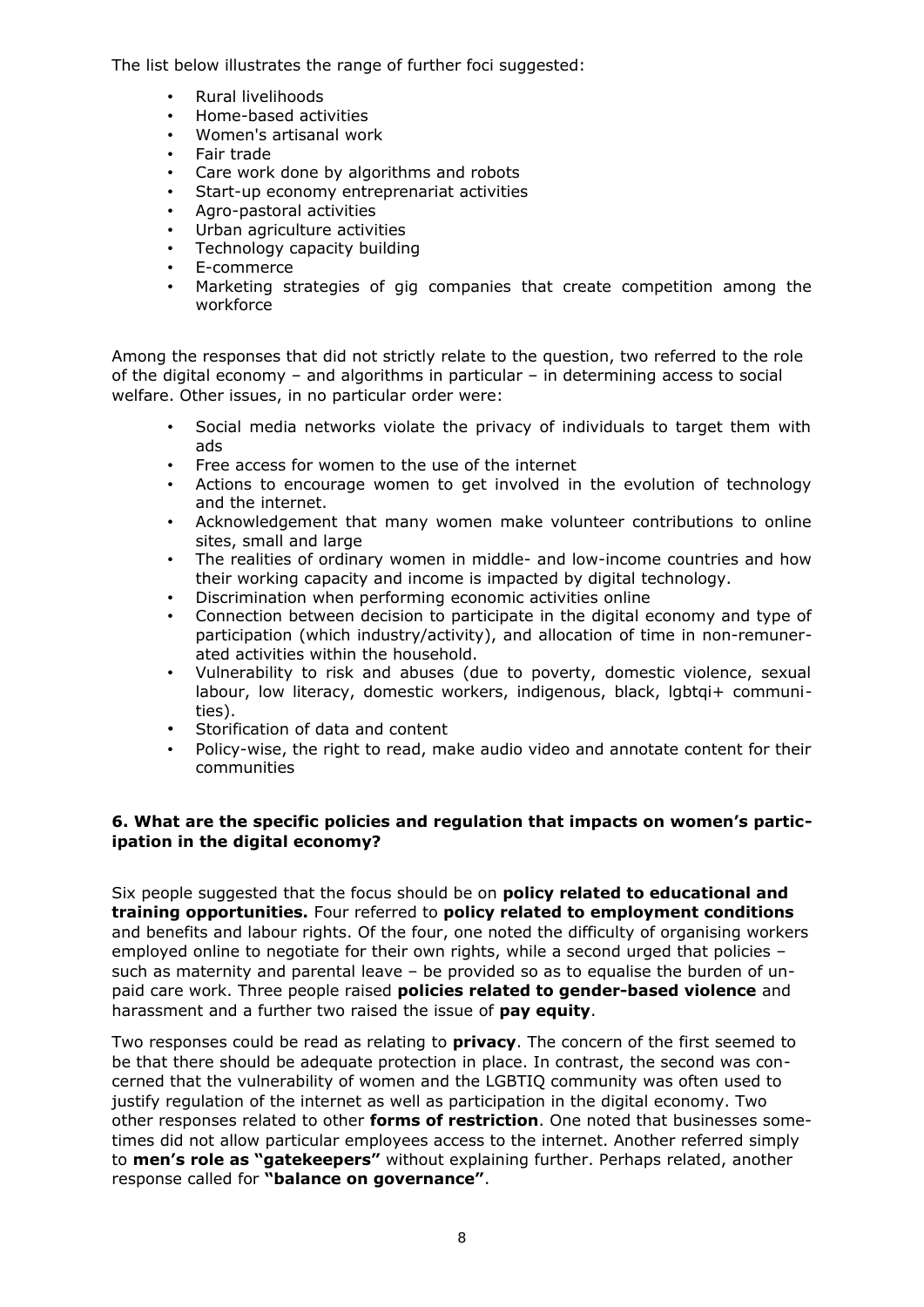The list below illustrates the range of further foci suggested:

- Rural livelihoods
- Home-based activities
- Women's artisanal work
- Fair trade
- Care work done by algorithms and robots
- Start-up economy entreprenariat activities
- Agro-pastoral activities
- Urban agriculture activities
- Technology capacity building
- E-commerce
- Marketing strategies of gig companies that create competition among the workforce

Among the responses that did not strictly relate to the question, two referred to the role of the digital economy – and algorithms in particular – in determining access to social welfare. Other issues, in no particular order were:

- Social media networks violate the privacy of individuals to target them with ads
- Free access for women to the use of the internet
- Actions to encourage women to get involved in the evolution of technology and the internet.
- Acknowledgement that many women make volunteer contributions to online sites, small and large
- The realities of ordinary women in middle- and low-income countries and how their working capacity and income is impacted by digital technology.
- Discrimination when performing economic activities online
- Connection between decision to participate in the digital economy and type of participation (which industry/activity), and allocation of time in non-remunerated activities within the household.
- Vulnerability to risk and abuses (due to poverty, domestic violence, sexual labour, low literacy, domestic workers, indigenous, black, lgbtqi+ communities).
- Storification of data and content
- Policy-wise, the right to read, make audio video and annotate content for their communities

#### **6. What are the specific policies and regulation that impacts on women's participation in the digital economy?**

Six people suggested that the focus should be on **policy related to educational and training opportunities.** Four referred to **policy related to employment conditions** and benefits and labour rights. Of the four, one noted the difficulty of organising workers employed online to negotiate for their own rights, while a second urged that policies – such as maternity and parental leave – be provided so as to equalise the burden of unpaid care work. Three people raised **policies related to gender-based violence** and harassment and a further two raised the issue of **pay equity**.

Two responses could be read as relating to **privacy**. The concern of the first seemed to be that there should be adequate protection in place. In contrast, the second was concerned that the vulnerability of women and the LGBTIQ community was often used to justify regulation of the internet as well as participation in the digital economy. Two other responses related to other **forms of restriction**. One noted that businesses sometimes did not allow particular employees access to the internet. Another referred simply to **men's role as "gatekeepers"** without explaining further. Perhaps related, another response called for **"balance on governance"**.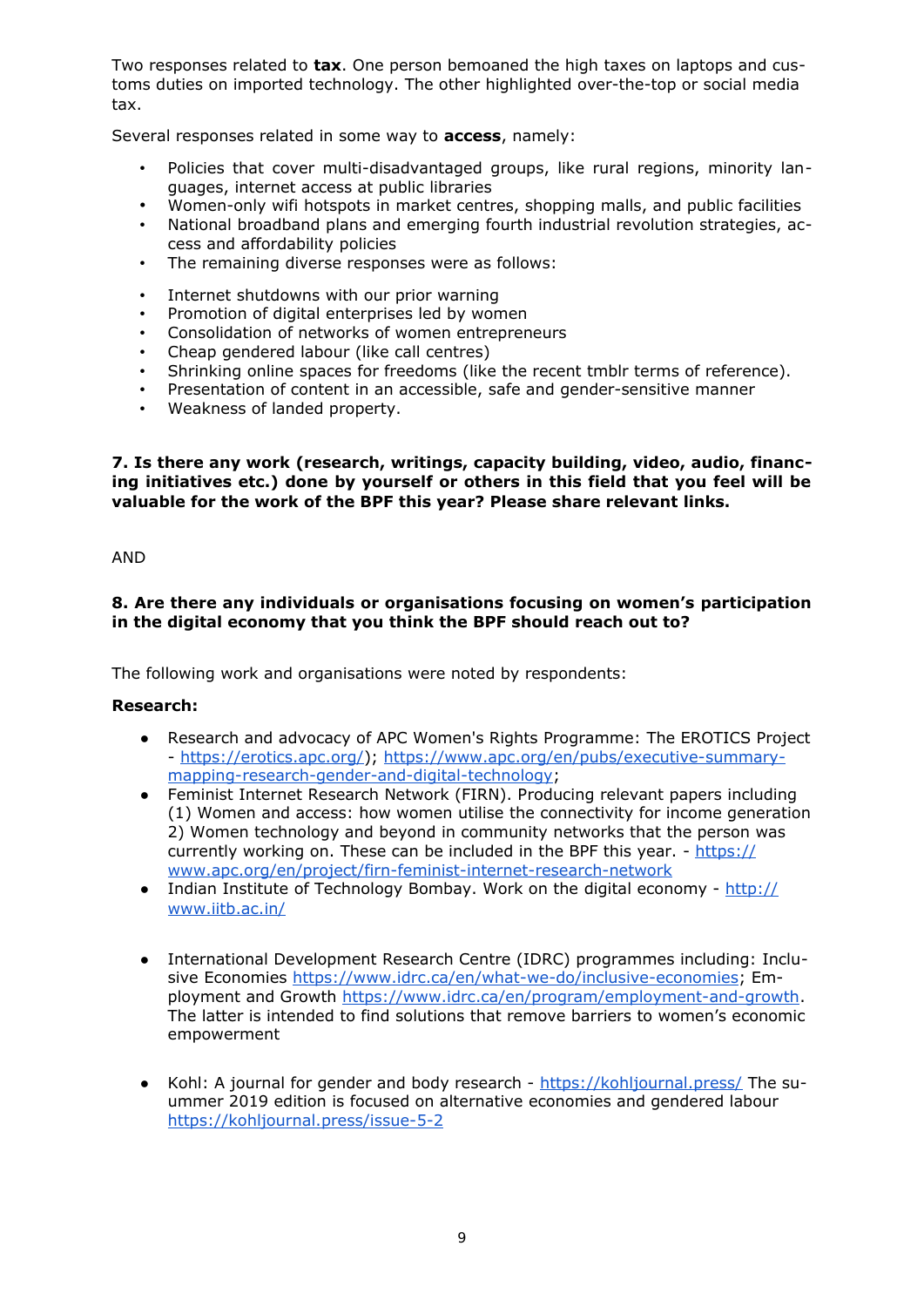Two responses related to **tax**. One person bemoaned the high taxes on laptops and customs duties on imported technology. The other highlighted over-the-top or social media tax.

Several responses related in some way to **access**, namely:

- Policies that cover multi-disadvantaged groups, like rural regions, minority languages, internet access at public libraries
- Women-only wifi hotspots in market centres, shopping malls, and public facilities
- National broadband plans and emerging fourth industrial revolution strategies, access and affordability policies
- The remaining diverse responses were as follows:
- Internet shutdowns with our prior warning
- Promotion of digital enterprises led by women
- Consolidation of networks of women entrepreneurs
- Cheap gendered labour (like call centres)
- Shrinking online spaces for freedoms (like the recent tmblr terms of reference).
- Presentation of content in an accessible, safe and gender-sensitive manner
- Weakness of landed property.

**7. Is there any work (research, writings, capacity building, video, audio, financing initiatives etc.) done by yourself or others in this field that you feel will be valuable for the work of the BPF this year? Please share relevant links.**

AND

#### **8. Are there any individuals or organisations focusing on women's participation in the digital economy that you think the BPF should reach out to?**

The following work and organisations were noted by respondents:

#### **Research:**

- Research and advocacy of APC Women's Rights Programme: The EROTICS Project - [https://erotics.apc.org/\)](https://erotics.apc.org/); [https://www.apc.org/en/pubs/executive-summary](https://www.apc.org/en/pubs/executive-summary-mapping-research-gender-and-digital-technology)[mapping-research-gender-and-digital-technology;](https://www.apc.org/en/pubs/executive-summary-mapping-research-gender-and-digital-technology)
- Feminist Internet Research Network (FIRN). Producing relevant papers including (1) Women and access: how women utilise the connectivity for income generation 2) Women technology and beyond in community networks that the person was currently working on. These can be included in the BPF this year. - [https://](https://www.apc.org/en/project/firn-feminist-internet-research-network) [www.apc.org/en/project/firn-feminist-internet-research-network](https://www.apc.org/en/project/firn-feminist-internet-research-network)
- Indian Institute of Technology Bombay. Work on the digital economy  $\frac{http://}{http://}$ [www.iitb.ac.in/](http://www.iitb.ac.in/)
- International Development Research Centre (IDRC) programmes including: Inclusive Economies [https://www.idrc.ca/en/what-we-do/inclusive-economies;](https://www.idrc.ca/en/what-we-do/inclusive-economies) Employment and Growth [https://www.idrc.ca/en/program/employment-and-growth.](https://www.idrc.ca/en/program/employment-and-growth) The latter is intended to find solutions that remove barriers to women's economic empowerment
- Kohl: A journal for gender and body research <https://kohljournal.press/>The suummer 2019 edition is focused on alternative economies and gendered labour <https://kohljournal.press/issue-5-2>